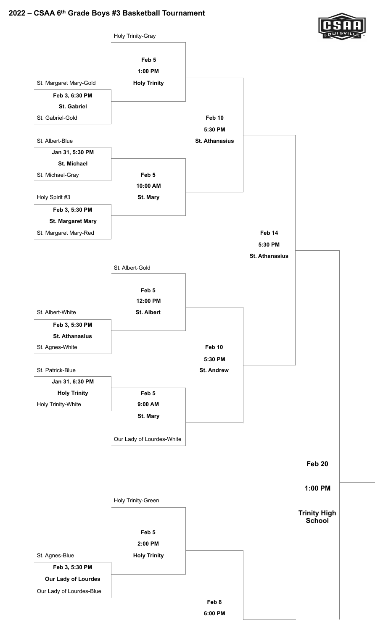